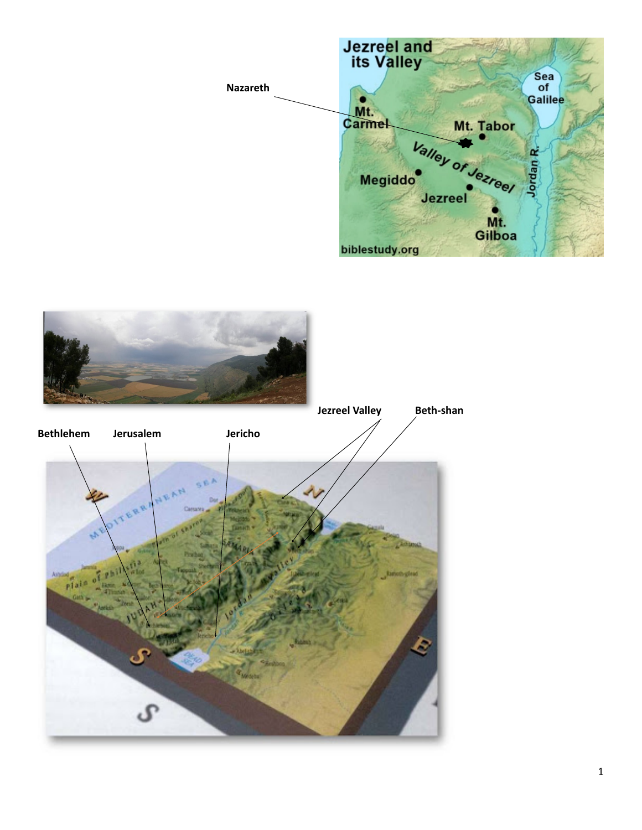